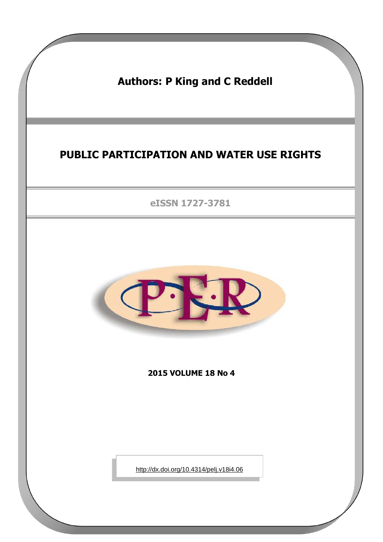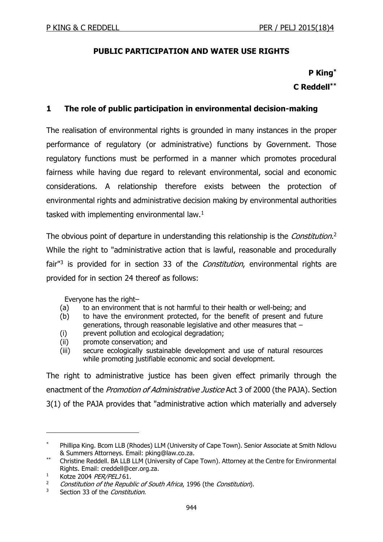## **PUBLIC PARTICIPATION AND WATER USE RIGHTS**

## **P King\* C Reddell\*\***

### **1 The role of public participation in environmental decision-making**

The realisation of environmental rights is grounded in many instances in the proper performance of regulatory (or administrative) functions by Government. Those regulatory functions must be performed in a manner which promotes procedural fairness while having due regard to relevant environmental, social and economic considerations. A relationship therefore exists between the protection of environmental rights and administrative decision making by environmental authorities tasked with implementing environmental law. $1$ 

The obvious point of departure in understanding this relationship is the *Constitution*.<sup>2</sup> While the right to "administrative action that is lawful, reasonable and procedurally fair<sup>"3</sup> is provided for in section 33 of the *Constitution*, environmental rights are provided for in section 24 thereof as follows:

Everyone has the right–

- (a) to an environment that is not harmful to their health or well-being; and
- (b) to have the environment protected, for the benefit of present and future generations, through reasonable legislative and other measures that –
- (i) prevent pollution and ecological degradation;
- (ii) promote conservation; and
- (iii) secure ecologically sustainable development and use of natural resources while promoting justifiable economic and social development.

The right to administrative justice has been given effect primarily through the enactment of the *Promotion of Administrative Justice* Act 3 of 2000 (the PAJA). Section 3(1) of the PAJA provides that "administrative action which materially and adversely

Phillipa King. Bcom LLB (Rhodes) LLM (University of Cape Town). Senior Associate at Smith Ndlovu & Summers Attorneys. Email: pking@law.co.za.

Christine Reddell. BA LLB LLM (University of Cape Town). Attorney at the Centre for Environmental Rights. Email: creddell@cer.org.za.

<sup>&</sup>lt;sup>1</sup> Kotze 2004 *PER/PELJ* 61.

Constitution of the Republic of South Africa, 1996 (the Constitution).

<sup>&</sup>lt;sup>3</sup> Section 33 of the *Constitution*.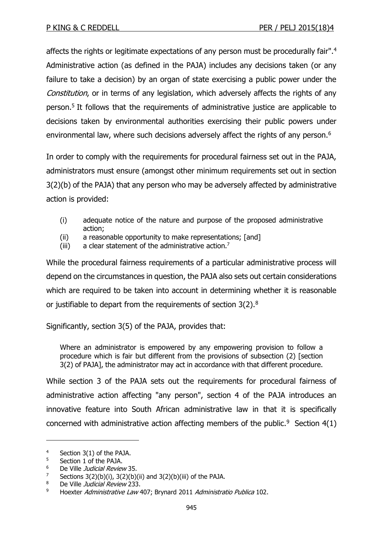affects the rights or legitimate expectations of any person must be procedurally fair".<sup>4</sup> Administrative action (as defined in the PAJA) includes any decisions taken (or any failure to take a decision) by an organ of state exercising a public power under the Constitution, or in terms of any legislation, which adversely affects the rights of any person.<sup>5</sup> It follows that the requirements of administrative justice are applicable to decisions taken by environmental authorities exercising their public powers under environmental law, where such decisions adversely affect the rights of any person.<sup>6</sup>

In order to comply with the requirements for procedural fairness set out in the PAJA, administrators must ensure (amongst other minimum requirements set out in section 3(2)(b) of the PAJA) that any person who may be adversely affected by administrative action is provided:

- (i) adequate notice of the nature and purpose of the proposed administrative action;
- (ii) a reasonable opportunity to make representations; [and]
- (iii) a clear statement of the administrative action.<sup>7</sup>

While the procedural fairness requirements of a particular administrative process will depend on the circumstances in question, the PAJA also sets out certain considerations which are required to be taken into account in determining whether it is reasonable or justifiable to depart from the requirements of section 3(2).<sup>8</sup>

Significantly, section 3(5) of the PAJA, provides that:

Where an administrator is empowered by any empowering provision to follow a procedure which is fair but different from the provisions of subsection (2) [section 3(2) of PAJA], the administrator may act in accordance with that different procedure.

While section 3 of the PAJA sets out the requirements for procedural fairness of administrative action affecting "any person", section 4 of the PAJA introduces an innovative feature into South African administrative law in that it is specifically concerned with administrative action affecting members of the public.<sup>9</sup> Section  $4(1)$ 

<sup>4</sup> Section 3(1) of the PAJA.

 $5$  Section 1 of the PAJA.

<sup>&</sup>lt;sup>6</sup> De Ville *Judicial Review* 35.

Sections  $3(2)(b)(i)$ ,  $3(2)(b)(ii)$  and  $3(2)(b)(iii)$  of the PAJA.

<sup>8</sup> De Ville Judicial Review 233.

<sup>&</sup>lt;sup>9</sup> Hoexter Administrative Law 407; Brynard 2011 Administratio Publica 102.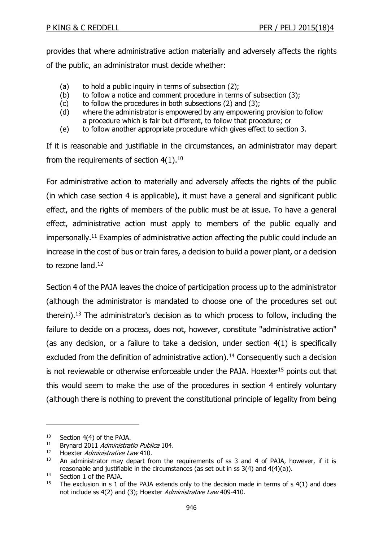provides that where administrative action materially and adversely affects the rights of the public, an administrator must decide whether:

- (a) to hold a public inquiry in terms of subsection (2);
- (b) to follow a notice and comment procedure in terms of subsection (3);
- (c) to follow the procedures in both subsections (2) and (3);
- (d) where the administrator is empowered by any empowering provision to follow a procedure which is fair but different, to follow that procedure; or
- (e) to follow another appropriate procedure which gives effect to section 3.

If it is reasonable and justifiable in the circumstances, an administrator may depart from the requirements of section  $4(1).^{10}$ 

For administrative action to materially and adversely affects the rights of the public (in which case section 4 is applicable), it must have a general and significant public effect, and the rights of members of the public must be at issue. To have a general effect, administrative action must apply to members of the public equally and impersonally.<sup>11</sup> Examples of administrative action affecting the public could include an increase in the cost of bus or train fares, a decision to build a power plant, or a decision to rezone land.<sup>12</sup>

Section 4 of the PAJA leaves the choice of participation process up to the administrator (although the administrator is mandated to choose one of the procedures set out therein).<sup>13</sup> The administrator's decision as to which process to follow, including the failure to decide on a process, does not, however, constitute "administrative action" (as any decision, or a failure to take a decision, under section 4(1) is specifically excluded from the definition of administrative action).<sup>14</sup> Consequently such a decision is not reviewable or otherwise enforceable under the PAJA. Hoexter<sup>15</sup> points out that this would seem to make the use of the procedures in section 4 entirely voluntary (although there is nothing to prevent the constitutional principle of legality from being

<sup>10</sup> Section 4(4) of the PAJA.

<sup>&</sup>lt;sup>11</sup> Brynard 2011 Administratio Publica 104.

<sup>&</sup>lt;sup>12</sup> Hoexter Administrative Law 410.

 $13$  An administrator may depart from the requirements of ss 3 and 4 of PAJA, however, if it is reasonable and justifiable in the circumstances (as set out in ss 3(4) and 4(4)(a)).

<sup>&</sup>lt;sup>14</sup> Section 1 of the PAJA.

<sup>&</sup>lt;sup>15</sup> The exclusion in s 1 of the PAJA extends only to the decision made in terms of s  $4(1)$  and does not include ss 4(2) and (3); Hoexter Administrative Law 409-410.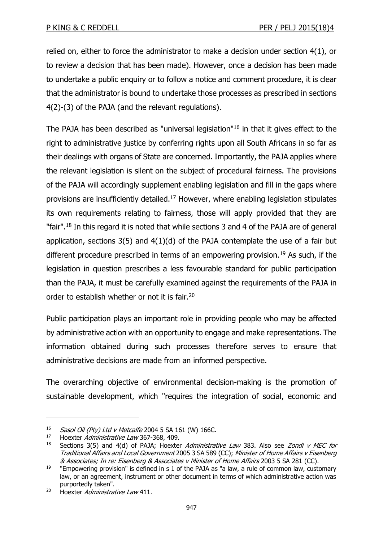relied on, either to force the administrator to make a decision under section 4(1), or to review a decision that has been made). However, once a decision has been made to undertake a public enquiry or to follow a notice and comment procedure, it is clear that the administrator is bound to undertake those processes as prescribed in sections 4(2)-(3) of the PAJA (and the relevant regulations).

The PAJA has been described as "universal legislation"<sup>16</sup> in that it gives effect to the right to administrative justice by conferring rights upon all South Africans in so far as their dealings with organs of State are concerned. Importantly, the PAJA applies where the relevant legislation is silent on the subject of procedural fairness. The provisions of the PAJA will accordingly supplement enabling legislation and fill in the gaps where provisions are insufficiently detailed.<sup>17</sup> However, where enabling legislation stipulates its own requirements relating to fairness, those will apply provided that they are "fair".<sup>18</sup> In this regard it is noted that while sections 3 and 4 of the PAJA are of general application, sections  $3(5)$  and  $4(1)(d)$  of the PAJA contemplate the use of a fair but different procedure prescribed in terms of an empowering provision.<sup>19</sup> As such, if the legislation in question prescribes a less favourable standard for public participation than the PAJA, it must be carefully examined against the requirements of the PAJA in order to establish whether or not it is fair.<sup>20</sup>

Public participation plays an important role in providing people who may be affected by administrative action with an opportunity to engage and make representations. The information obtained during such processes therefore serves to ensure that administrative decisions are made from an informed perspective.

The overarching objective of environmental decision-making is the promotion of sustainable development, which "requires the integration of social, economic and

<sup>&</sup>lt;sup>16</sup> Sasol Oil (Pty) Ltd v Metcalfe 2004 5 SA 161 (W) 166C.<br><sup>17</sup> Hoexter *Administrative Law* 367-368 409

Hoexter Administrative Law 367-368, 409.

<sup>&</sup>lt;sup>18</sup> Sections 3(5) and 4(d) of PAJA; Hoexter Administrative Law 383. Also see Zondi v MEC for Traditional Affairs and Local Government 2005 3 SA 589 (CC); Minister of Home Affairs v Eisenberg & Associates; In re: Eisenberg & Associates v Minister of Home Affairs 2003 5 SA 281 (CC).

<sup>&</sup>lt;sup>19</sup> "Empowering provision" is defined in s 1 of the PAJA as "a law, a rule of common law, customary law, or an agreement, instrument or other document in terms of which administrative action was purportedly taken".

<sup>&</sup>lt;sup>20</sup> Hoexter *Administrative Law* 411.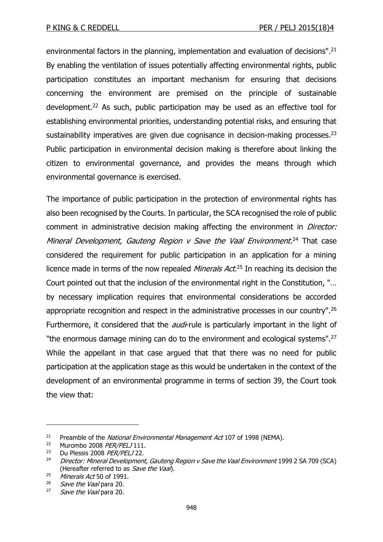environmental factors in the planning, implementation and evaluation of decisions".<sup>21</sup> By enabling the ventilation of issues potentially affecting environmental rights, public participation constitutes an important mechanism for ensuring that decisions concerning the environment are premised on the principle of sustainable development.<sup>22</sup> As such, public participation may be used as an effective tool for establishing environmental priorities, understanding potential risks, and ensuring that sustainability imperatives are given due cognisance in decision-making processes.<sup>23</sup> Public participation in environmental decision making is therefore about linking the citizen to environmental governance, and provides the means through which environmental governance is exercised.

The importance of public participation in the protection of environmental rights has also been recognised by the Courts. In particular, the SCA recognised the role of public comment in administrative decision making affecting the environment in *Director:* Mineral Development, Gauteng Region v Save the Vaal Environment.<sup>24</sup> That case considered the requirement for public participation in an application for a mining licence made in terms of the now repealed *Minerals Act*.<sup>25</sup> In reaching its decision the Court pointed out that the inclusion of the environmental right in the Constitution, "… by necessary implication requires that environmental considerations be accorded appropriate recognition and respect in the administrative processes in our country".<sup>26</sup> Furthermore, it considered that the *audi*-rule is particularly important in the light of "the enormous damage mining can do to the environment and ecological systems".<sup>27</sup> While the appellant in that case argued that that there was no need for public participation at the application stage as this would be undertaken in the context of the development of an environmental programme in terms of section 39, the Court took the view that:

<sup>&</sup>lt;sup>21</sup> Preamble of the *National Environmental Management Act* 107 of 1998 (NEMA).<br><sup>22</sup> Murombo 2008 *PER/PEL* 1111

Murombo 2008 PER/PELJ 111.

<sup>&</sup>lt;sup>23</sup> Du Plessis 2008 PER/PELJ 22.

<sup>&</sup>lt;sup>24</sup> Director: Mineral Development, Gauteng Region v Save the Vaal Environment 1999 2 SA 709 (SCA) (Hereafter referred to as Save the Vaal).

<sup>&</sup>lt;sup>25</sup> Minerals Act 50 of 1991.

Save the Vaal para 20.

 $27$  Save the Vaal para 20.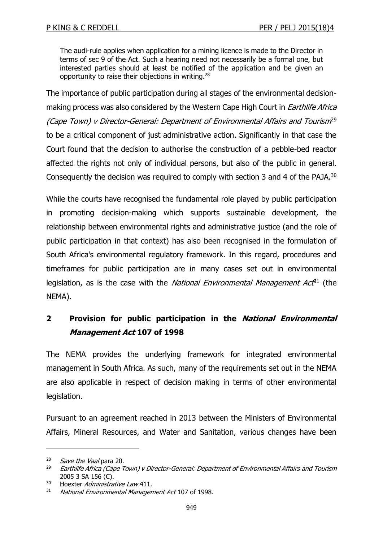The audi-rule applies when application for a mining licence is made to the Director in terms of sec 9 of the Act. Such a hearing need not necessarily be a formal one, but interested parties should at least be notified of the application and be given an opportunity to raise their objections in writing.<sup>28</sup>

The importance of public participation during all stages of the environmental decisionmaking process was also considered by the Western Cape High Court in *Earthlife Africa* (Cape Town) v Director-General: Department of Environmental Affairs and Tourism<sup>29</sup> to be a critical component of just administrative action. Significantly in that case the Court found that the decision to authorise the construction of a pebble-bed reactor affected the rights not only of individual persons, but also of the public in general. Consequently the decision was required to comply with section 3 and 4 of the PAJA.<sup>30</sup>

While the courts have recognised the fundamental role played by public participation in promoting decision-making which supports sustainable development, the relationship between environmental rights and administrative justice (and the role of public participation in that context) has also been recognised in the formulation of South Africa's environmental regulatory framework. In this regard, procedures and timeframes for public participation are in many cases set out in environmental legislation, as is the case with the National Environmental Management Act<sup>31</sup> (the NEMA).

## **2 Provision for public participation in the National Environmental Management Act 107 of 1998**

The NEMA provides the underlying framework for integrated environmental management in South Africa. As such, many of the requirements set out in the NEMA are also applicable in respect of decision making in terms of other environmental legislation.

Pursuant to an agreement reached in 2013 between the Ministers of Environmental Affairs, Mineral Resources, and Water and Sanitation, various changes have been

 $\frac{28}{29}$  Save the Vaal para 20.

<sup>29</sup> Earthlife Africa (Cape Town) v Director-General: Department of Environmental Affairs and Tourism 2005 3 SA 156 (C).

<sup>&</sup>lt;sup>30</sup> Hoexter *Administrative Law* 411.

<sup>&</sup>lt;sup>31</sup> National Environmental Management Act 107 of 1998.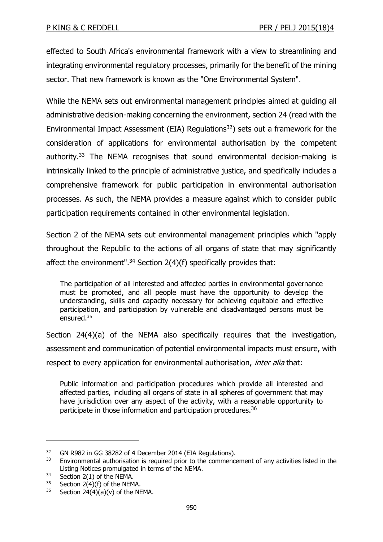effected to South Africa's environmental framework with a view to streamlining and integrating environmental regulatory processes, primarily for the benefit of the mining sector. That new framework is known as the "One Environmental System".

While the NEMA sets out environmental management principles aimed at guiding all administrative decision-making concerning the environment, section 24 (read with the Environmental Impact Assessment (EIA) Regulations<sup>32</sup>) sets out a framework for the consideration of applications for environmental authorisation by the competent authority.<sup>33</sup> The NEMA recognises that sound environmental decision-making is intrinsically linked to the principle of administrative justice, and specifically includes a comprehensive framework for public participation in environmental authorisation processes. As such, the NEMA provides a measure against which to consider public participation requirements contained in other environmental legislation.

Section 2 of the NEMA sets out environmental management principles which "apply throughout the Republic to the actions of all organs of state that may significantly affect the environment".<sup>34</sup> Section 2(4)(f) specifically provides that:

The participation of all interested and affected parties in environmental governance must be promoted, and all people must have the opportunity to develop the understanding, skills and capacity necessary for achieving equitable and effective participation, and participation by vulnerable and disadvantaged persons must be ensured.<sup>35</sup>

Section 24(4)(a) of the NEMA also specifically requires that the investigation, assessment and communication of potential environmental impacts must ensure, with respect to every application for environmental authorisation, *inter alia* that:

Public information and participation procedures which provide all interested and affected parties, including all organs of state in all spheres of government that may have jurisdiction over any aspect of the activity, with a reasonable opportunity to participate in those information and participation procedures.<sup>36</sup>

<sup>&</sup>lt;sup>32</sup> GN R982 in GG 38282 of 4 December 2014 (EIA Regulations).

 $33$  Environmental authorisation is required prior to the commencement of any activities listed in the Listing Notices promulgated in terms of the NEMA.

<sup>&</sup>lt;sup>34</sup> Section 2(1) of the NEMA.<br><sup>35</sup> Section 2(4)(f) of the NEM

Section 2(4)(f) of the NEMA.

 $36$  Section 24(4)(a)(v) of the NEMA.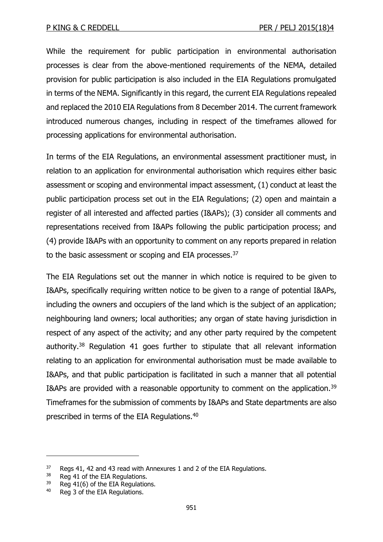While the requirement for public participation in environmental authorisation processes is clear from the above-mentioned requirements of the NEMA, detailed provision for public participation is also included in the EIA Regulations promulgated in terms of the NEMA. Significantly in this regard, the current EIA Regulations repealed and replaced the 2010 EIA Regulations from 8 December 2014. The current framework introduced numerous changes, including in respect of the timeframes allowed for processing applications for environmental authorisation.

In terms of the EIA Regulations, an environmental assessment practitioner must, in relation to an application for environmental authorisation which requires either basic assessment or scoping and environmental impact assessment, (1) conduct at least the public participation process set out in the EIA Regulations; (2) open and maintain a register of all interested and affected parties (I&APs); (3) consider all comments and representations received from I&APs following the public participation process; and (4) provide I&APs with an opportunity to comment on any reports prepared in relation to the basic assessment or scoping and EIA processes.<sup>37</sup>

The EIA Regulations set out the manner in which notice is required to be given to I&APs, specifically requiring written notice to be given to a range of potential I&APs, including the owners and occupiers of the land which is the subject of an application; neighbouring land owners; local authorities; any organ of state having jurisdiction in respect of any aspect of the activity; and any other party required by the competent authority.<sup>38</sup> Regulation 41 goes further to stipulate that all relevant information relating to an application for environmental authorisation must be made available to I&APs, and that public participation is facilitated in such a manner that all potential I&APs are provided with a reasonable opportunity to comment on the application.<sup>39</sup> Timeframes for the submission of comments by I&APs and State departments are also prescribed in terms of the EIA Regulations.<sup>40</sup>

 $37$  Regs 41, 42 and 43 read with Annexures 1 and 2 of the EIA Regulations.<br> $38$  Reg 41 of the EIA Requlations

Reg 41 of the EIA Regulations.

<sup>&</sup>lt;sup>39</sup> Reg 41(6) of the EIA Regulations.

<sup>40</sup> Reg 3 of the EIA Regulations.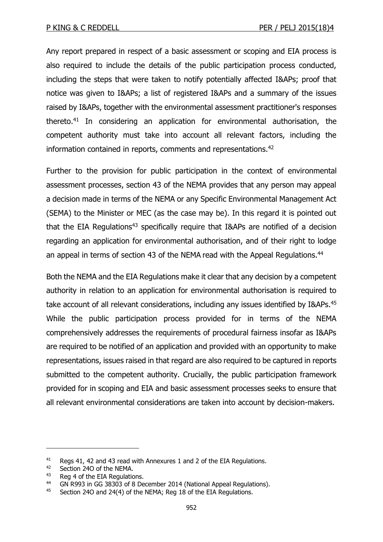Any report prepared in respect of a basic assessment or scoping and EIA process is also required to include the details of the public participation process conducted, including the steps that were taken to notify potentially affected I&APs; proof that notice was given to I&APs; a list of registered I&APs and a summary of the issues raised by I&APs, together with the environmental assessment practitioner's responses thereto.<sup>41</sup> In considering an application for environmental authorisation, the competent authority must take into account all relevant factors, including the information contained in reports, comments and representations.<sup>42</sup>

Further to the provision for public participation in the context of environmental assessment processes, section 43 of the NEMA provides that any person may appeal a decision made in terms of the NEMA or any Specific Environmental Management Act (SEMA) to the Minister or MEC (as the case may be). In this regard it is pointed out that the EIA Regulations<sup>43</sup> specifically reguire that I&APs are notified of a decision regarding an application for environmental authorisation, and of their right to lodge an appeal in terms of section 43 of the NEMA read with the Appeal Regulations.<sup>44</sup>

Both the NEMA and the EIA Regulations make it clear that any decision by a competent authority in relation to an application for environmental authorisation is required to take account of all relevant considerations, including any issues identified by I&APs.<sup>45</sup> While the public participation process provided for in terms of the NEMA comprehensively addresses the requirements of procedural fairness insofar as I&APs are required to be notified of an application and provided with an opportunity to make representations, issues raised in that regard are also required to be captured in reports submitted to the competent authority. Crucially, the public participation framework provided for in scoping and EIA and basic assessment processes seeks to ensure that all relevant environmental considerations are taken into account by decision-makers.

<sup>&</sup>lt;sup>41</sup> Regs 41, 42 and 43 read with Annexures 1 and 2 of the EIA Regulations.<br><sup>42</sup> Section 240 of the NEMA

 $^{42}$  Section 240 of the NEMA.<br> $^{43}$  Beg 4 of the EIA Begulation

Reg 4 of the EIA Regulations.

<sup>44</sup> GN R993 in GG 38303 of 8 December 2014 (National Appeal Regulations).

<sup>&</sup>lt;sup>45</sup> Section 240 and 24(4) of the NEMA; Reg 18 of the EIA Regulations.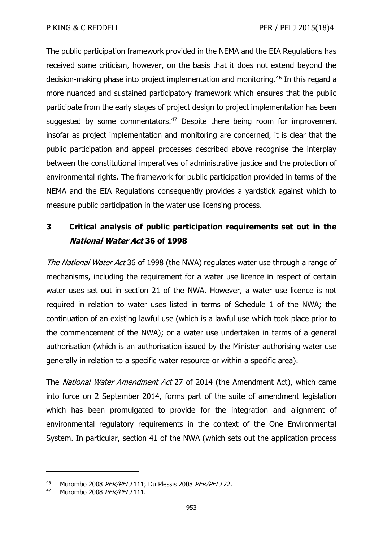The public participation framework provided in the NEMA and the EIA Regulations has received some criticism, however, on the basis that it does not extend beyond the decision-making phase into project implementation and monitoring.<sup>46</sup> In this regard a more nuanced and sustained participatory framework which ensures that the public participate from the early stages of project design to project implementation has been suggested by some commentators.<sup>47</sup> Despite there being room for improvement insofar as project implementation and monitoring are concerned, it is clear that the public participation and appeal processes described above recognise the interplay between the constitutional imperatives of administrative justice and the protection of environmental rights. The framework for public participation provided in terms of the NEMA and the EIA Regulations consequently provides a yardstick against which to measure public participation in the water use licensing process.

## **3 Critical analysis of public participation requirements set out in the National Water Act 36 of 1998**

The National Water Act 36 of 1998 (the NWA) regulates water use through a range of mechanisms, including the requirement for a water use licence in respect of certain water uses set out in section 21 of the NWA. However, a water use licence is not required in relation to water uses listed in terms of Schedule 1 of the NWA; the continuation of an existing lawful use (which is a lawful use which took place prior to the commencement of the NWA); or a water use undertaken in terms of a general authorisation (which is an authorisation issued by the Minister authorising water use generally in relation to a specific water resource or within a specific area).

The *National Water Amendment Act* [27 of](http://ipproducts.jutalaw.co.za/nxt/foliolinks.asp?f=xhitlist&xhitlist_x=Advanced&xhitlist_vpc=first&xhitlist_xsl=querylink.xsl&xhitlist_sel=title;path;content-type;home-title&xhitlist_d=%7bstatreg%7d&xhitlist_q=%5bfield%20folio-destination-name:%27a27y2014%27%5d&xhitlist_md=target-id=0-0-0-23233) 2014 (the Amendment Act), which came into force on 2 September 2014, forms part of the suite of amendment legislation which has been promulgated to provide for the integration and alignment of environmental regulatory requirements in the context of the One Environmental System. In particular, section 41 of the NWA (which sets out the application process

<sup>46</sup> Murombo 2008 PER/PELJ 111; Du Plessis 2008 PER/PELJ 22.

<sup>47</sup> Murombo 2008 PER/PELJ 111.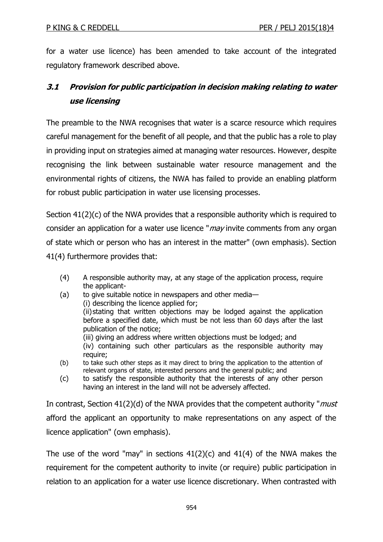for a water use licence) has been amended to take account of the integrated regulatory framework described above.

## **3.1 Provision for public participation in decision making relating to water use licensing**

The preamble to the NWA recognises that water is a scarce resource which requires careful management for the benefit of all people, and that the public has a role to play in providing input on strategies aimed at managing water resources. However, despite recognising the link between sustainable water resource management and the environmental rights of citizens, the NWA has failed to provide an enabling platform for robust public participation in water use licensing processes.

Section 41(2)(c) of the NWA provides that a responsible authority which is required to consider an application for a water use licence "*may* invite comments from any organ of state which or person who has an interest in the matter" (own emphasis). Section 41(4) furthermore provides that:

- (4) A responsible authority may, at any stage of the application process, require the applicant-
- (a) to give suitable notice in newspapers and other media— (i) describing the licence applied for; (ii) stating that written objections may be lodged against the application before a specified date, which must be not less than 60 days after the last publication of the notice; (iii) giving an address where written objections must be lodged; and (iv) containing such other particulars as the responsible authority may require;
- (b) to take such other steps as it may direct to bring the application to the attention of relevant organs of state, interested persons and the general public; and
- (c) to satisfy the responsible authority that the interests of any other person having an interest in the land will not be adversely affected.

In contrast, Section  $41(2)(d)$  of the NWA provides that the competent authority "*must* afford the applicant an opportunity to make representations on any aspect of the licence application" (own emphasis).

The use of the word "may" in sections  $41(2)(c)$  and  $41(4)$  of the NWA makes the requirement for the competent authority to invite (or require) public participation in relation to an application for a water use licence discretionary. When contrasted with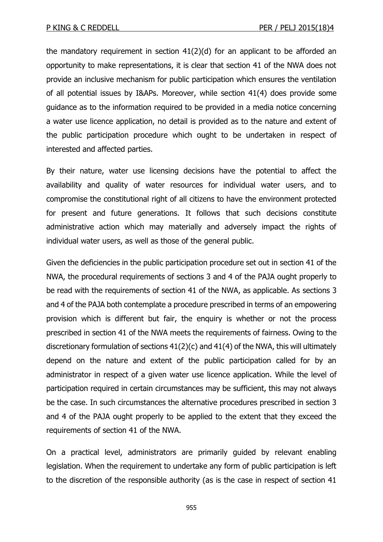the mandatory requirement in section 41(2)(d) for an applicant to be afforded an opportunity to make representations, it is clear that section 41 of the NWA does not provide an inclusive mechanism for public participation which ensures the ventilation of all potential issues by I&APs. Moreover, while section 41(4) does provide some guidance as to the information required to be provided in a media notice concerning a water use licence application, no detail is provided as to the nature and extent of the public participation procedure which ought to be undertaken in respect of interested and affected parties.

By their nature, water use licensing decisions have the potential to affect the availability and quality of water resources for individual water users, and to compromise the constitutional right of all citizens to have the environment protected for present and future generations. It follows that such decisions constitute administrative action which may materially and adversely impact the rights of individual water users, as well as those of the general public.

Given the deficiencies in the public participation procedure set out in section 41 of the NWA, the procedural requirements of sections 3 and 4 of the PAJA ought properly to be read with the requirements of section 41 of the NWA, as applicable. As sections 3 and 4 of the PAJA both contemplate a procedure prescribed in terms of an empowering provision which is different but fair, the enquiry is whether or not the process prescribed in section 41 of the NWA meets the requirements of fairness. Owing to the discretionary formulation of sections 41(2)(c) and 41(4) of the NWA, this will ultimately depend on the nature and extent of the public participation called for by an administrator in respect of a given water use licence application. While the level of participation required in certain circumstances may be sufficient, this may not always be the case. In such circumstances the alternative procedures prescribed in section 3 and 4 of the PAJA ought properly to be applied to the extent that they exceed the requirements of section 41 of the NWA.

On a practical level, administrators are primarily guided by relevant enabling legislation. When the requirement to undertake any form of public participation is left to the discretion of the responsible authority (as is the case in respect of section 41

955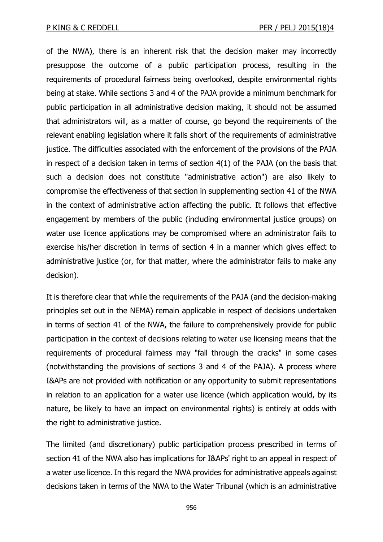of the NWA), there is an inherent risk that the decision maker may incorrectly presuppose the outcome of a public participation process, resulting in the requirements of procedural fairness being overlooked, despite environmental rights being at stake. While sections 3 and 4 of the PAJA provide a minimum benchmark for public participation in all administrative decision making, it should not be assumed that administrators will, as a matter of course, go beyond the requirements of the relevant enabling legislation where it falls short of the requirements of administrative justice. The difficulties associated with the enforcement of the provisions of the PAJA in respect of a decision taken in terms of section 4(1) of the PAJA (on the basis that such a decision does not constitute "administrative action") are also likely to compromise the effectiveness of that section in supplementing section 41 of the NWA in the context of administrative action affecting the public. It follows that effective engagement by members of the public (including environmental justice groups) on water use licence applications may be compromised where an administrator fails to exercise his/her discretion in terms of section 4 in a manner which gives effect to administrative justice (or, for that matter, where the administrator fails to make any decision).

It is therefore clear that while the requirements of the PAJA (and the decision-making principles set out in the NEMA) remain applicable in respect of decisions undertaken in terms of section 41 of the NWA, the failure to comprehensively provide for public participation in the context of decisions relating to water use licensing means that the requirements of procedural fairness may "fall through the cracks" in some cases (notwithstanding the provisions of sections 3 and 4 of the PAJA). A process where I&APs are not provided with notification or any opportunity to submit representations in relation to an application for a water use licence (which application would, by its nature, be likely to have an impact on environmental rights) is entirely at odds with the right to administrative justice.

The limited (and discretionary) public participation process prescribed in terms of section 41 of the NWA also has implications for I&APs' right to an appeal in respect of a water use licence. In this regard the NWA provides for administrative appeals against decisions taken in terms of the NWA to the Water Tribunal (which is an administrative

956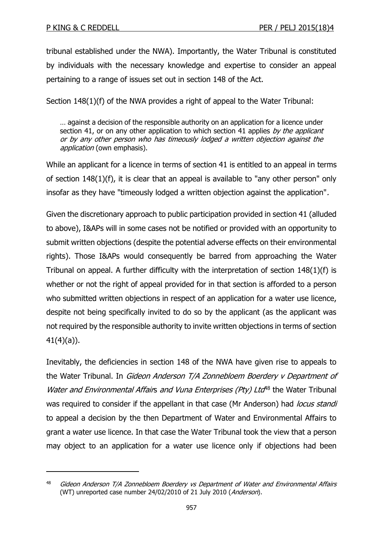-

tribunal established under the NWA). Importantly, the Water Tribunal is constituted by individuals with the necessary knowledge and expertise to consider an appeal pertaining to a range of issues set out in section 148 of the Act.

Section 148(1)(f) of the NWA provides a right of appeal to the Water Tribunal:

… against a decision of the responsible authority on an application for a licence under section 41, or on any other application to which section 41 applies by the applicant or by any other person who has timeously lodged a written objection against the application (own emphasis).

While an applicant for a licence in terms of section 41 is entitled to an appeal in terms of section 148(1)(f), it is clear that an appeal is available to "any other person" only insofar as they have "timeously lodged a written objection against the application".

Given the discretionary approach to public participation provided in section 41 (alluded to above), I&APs will in some cases not be notified or provided with an opportunity to submit written objections (despite the potential adverse effects on their environmental rights). Those I&APs would consequently be barred from approaching the Water Tribunal on appeal. A further difficulty with the interpretation of section 148(1)(f) is whether or not the right of appeal provided for in that section is afforded to a person who submitted written objections in respect of an application for a water use licence, despite not being specifically invited to do so by the applicant (as the applicant was not required by the responsible authority to invite written objections in terms of section 41(4)(a)).

Inevitably, the deficiencies in section 148 of the NWA have given rise to appeals to the Water Tribunal. In Gideon Anderson T/A Zonnebloem Boerdery v Department of Water and Environmental Affairs and Vuna Enterprises (Pty) Ltd<sup>48</sup> the Water Tribunal was required to consider if the appellant in that case (Mr Anderson) had locus standi to appeal a decision by the then Department of Water and Environmental Affairs to grant a water use licence. In that case the Water Tribunal took the view that a person may object to an application for a water use licence only if objections had been

<sup>&</sup>lt;sup>48</sup> Gideon Anderson T/A Zonnebloem Boerdery vs Department of Water and Environmental Affairs (WT) unreported case number 24/02/2010 of 21 July 2010 (Anderson).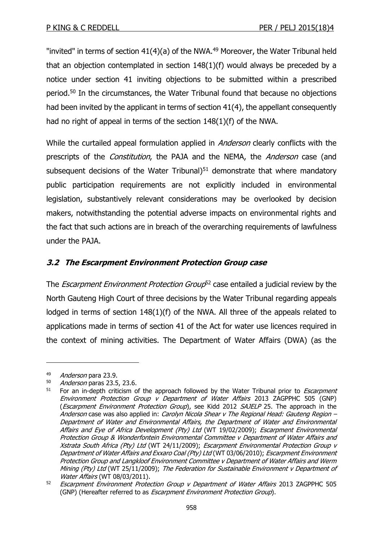"invited" in terms of section  $41(4)(a)$  of the NWA.<sup>49</sup> Moreover, the Water Tribunal held that an objection contemplated in section 148(1)(f) would always be preceded by a notice under section 41 inviting objections to be submitted within a prescribed period.<sup>50</sup> In the circumstances, the Water Tribunal found that because no objections had been invited by the applicant in terms of section 41(4), the appellant consequently had no right of appeal in terms of the section 148(1)(f) of the NWA.

While the curtailed appeal formulation applied in *Anderson* clearly conflicts with the prescripts of the *Constitution*, the PAJA and the NEMA, the *Anderson* case (and subsequent decisions of the Water Tribunal) $51$  demonstrate that where mandatory public participation requirements are not explicitly included in environmental legislation, substantively relevant considerations may be overlooked by decision makers, notwithstanding the potential adverse impacts on environmental rights and the fact that such actions are in breach of the overarching requirements of lawfulness under the PAJA.

## **3.2 The Escarpment Environment Protection Group case**

The *Escarpment Environment Protection Group*<sup>52</sup> case entailed a judicial review by the North Gauteng High Court of three decisions by the Water Tribunal regarding appeals lodged in terms of section 148(1)(f) of the NWA. All three of the appeals related to applications made in terms of section 41 of the Act for water use licences required in the context of mining activities. The Department of Water Affairs (DWA) (as the

<sup>49</sup> Anderson para 23.9.

 $50$  *Anderson* paras 23.5, 23.6.<br> $51$  For an in-donth criticism of

For an in-depth criticism of the approach followed by the Water Tribunal prior to *Escarpment* Environment Protection Group v Department of Water Affairs 2013 ZAGPPHC 505 (GNP) (Escarpment Environment Protection Group), see Kidd 2012 SAJELP 25. The approach in the Anderson case was also applied in: Carolyn Nicola Shear v The Regional Head: Gauteng Region -Department of Water and Environmental Affairs, the Department of Water and Environmental Affairs and Eye of Africa Development (Pty) Ltd (WT 19/02/2009); Escarpment Environmental Protection Group & Wonderfontein Environmental Committee v Department of Water Affairs and Xstrata South Africa (Pty) Ltd (WT 24/11/2009); Escarpment Environmental Protection Group v Department of Water Affairs and Exxaro Coal (Pty) Ltd (WT 03/06/2010); Escarpment Environment Protection Group and Langkloof Environment Committee v Department of Water Affairs and Werm Mining (Pty) Ltd (WT 25/11/2009); The Federation for Sustainable Environment v Department of Water Affairs (WT 08/03/2011).

<sup>&</sup>lt;sup>52</sup> Escarpment Environment Protection Group v Department of Water Affairs 2013 ZAGPPHC 505 (GNP) (Hereafter referred to as *Escarpment Environment Protection Group*).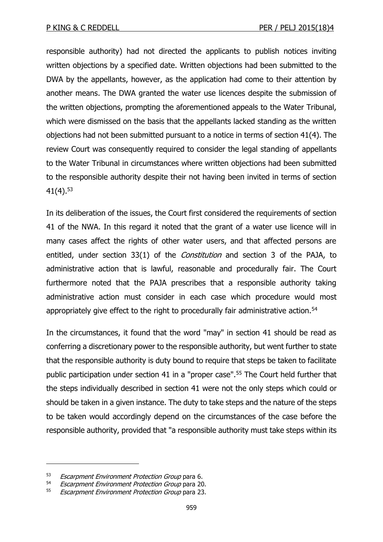responsible authority) had not directed the applicants to publish notices inviting written objections by a specified date. Written objections had been submitted to the DWA by the appellants, however, as the application had come to their attention by another means. The DWA granted the water use licences despite the submission of the written objections, prompting the aforementioned appeals to the Water Tribunal, which were dismissed on the basis that the appellants lacked standing as the written objections had not been submitted pursuant to a notice in terms of section 41(4). The review Court was consequently required to consider the legal standing of appellants to the Water Tribunal in circumstances where written objections had been submitted to the responsible authority despite their not having been invited in terms of section  $41(4).^{53}$ 

In its deliberation of the issues, the Court first considered the requirements of section 41 of the NWA. In this regard it noted that the grant of a water use licence will in many cases affect the rights of other water users, and that affected persons are entitled, under section 33(1) of the *Constitution* and section 3 of the PAJA, to administrative action that is lawful, reasonable and procedurally fair. The Court furthermore noted that the PAJA prescribes that a responsible authority taking administrative action must consider in each case which procedure would most appropriately give effect to the right to procedurally fair administrative action.<sup>54</sup>

In the circumstances, it found that the word "may" in section 41 should be read as conferring a discretionary power to the responsible authority, but went further to state that the responsible authority is duty bound to require that steps be taken to facilitate public participation under section 41 in a "proper case".<sup>55</sup> The Court held further that the steps individually described in section 41 were not the only steps which could or should be taken in a given instance. The duty to take steps and the nature of the steps to be taken would accordingly depend on the circumstances of the case before the responsible authority, provided that "a responsible authority must take steps within its

<sup>53</sup> Escarpment Environment Protection Group para 6.

<sup>54</sup> Escarpment Environment Protection Group para 20.

<sup>55</sup> Escarpment Environment Protection Group para 23.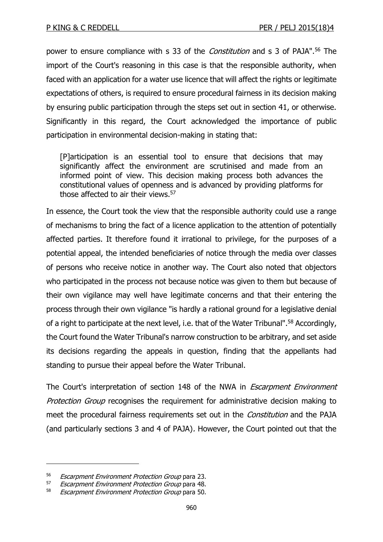power to ensure compliance with s 33 of the *Constitution* and s 3 of PAJA".<sup>56</sup> The import of the Court's reasoning in this case is that the responsible authority, when faced with an application for a water use licence that will affect the rights or legitimate expectations of others, is required to ensure procedural fairness in its decision making by ensuring public participation through the steps set out in section 41, or otherwise. Significantly in this regard, the Court acknowledged the importance of public participation in environmental decision-making in stating that:

[P]articipation is an essential tool to ensure that decisions that may significantly affect the environment are scrutinised and made from an informed point of view. This decision making process both advances the constitutional values of openness and is advanced by providing platforms for those affected to air their views.<sup>57</sup>

In essence, the Court took the view that the responsible authority could use a range of mechanisms to bring the fact of a licence application to the attention of potentially affected parties. It therefore found it irrational to privilege, for the purposes of a potential appeal, the intended beneficiaries of notice through the media over classes of persons who receive notice in another way. The Court also noted that objectors who participated in the process not because notice was given to them but because of their own vigilance may well have legitimate concerns and that their entering the process through their own vigilance "is hardly a rational ground for a legislative denial of a right to participate at the next level, i.e. that of the Water Tribunal".<sup>58</sup> Accordingly, the Court found the Water Tribunal's narrow construction to be arbitrary, and set aside its decisions regarding the appeals in question, finding that the appellants had standing to pursue their appeal before the Water Tribunal.

The Court's interpretation of section 148 of the NWA in *Escarpment Environment* Protection Group recognises the requirement for administrative decision making to meet the procedural fairness requirements set out in the *Constitution* and the PAJA (and particularly sections 3 and 4 of PAJA). However, the Court pointed out that the

<sup>&</sup>lt;sup>56</sup> Escarpment Environment Protection Group para 23.<br><sup>57</sup> Escarpment Environment Protection Group para 48

Escarpment Environment Protection Group para 48.

<sup>58</sup> Escarpment Environment Protection Group para 50.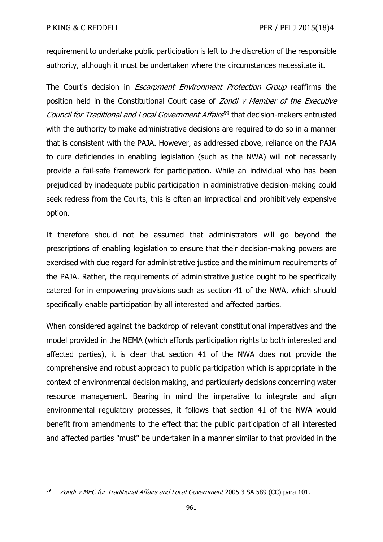-

requirement to undertake public participation is left to the discretion of the responsible authority, although it must be undertaken where the circumstances necessitate it.

The Court's decision in *Escarpment Environment Protection Group* reaffirms the position held in the Constitutional Court case of Zondi v Member of the Executive Council for Traditional and Local Government Affairs<sup>59</sup> that decision-makers entrusted with the authority to make administrative decisions are required to do so in a manner that is consistent with the PAJA. However, as addressed above, reliance on the PAJA to cure deficiencies in enabling legislation (such as the NWA) will not necessarily provide a fail-safe framework for participation. While an individual who has been prejudiced by inadequate public participation in administrative decision-making could seek redress from the Courts, this is often an impractical and prohibitively expensive option.

It therefore should not be assumed that administrators will go beyond the prescriptions of enabling legislation to ensure that their decision-making powers are exercised with due regard for administrative justice and the minimum requirements of the PAJA. Rather, the requirements of administrative justice ought to be specifically catered for in empowering provisions such as section 41 of the NWA, which should specifically enable participation by all interested and affected parties.

When considered against the backdrop of relevant constitutional imperatives and the model provided in the NEMA (which affords participation rights to both interested and affected parties), it is clear that section 41 of the NWA does not provide the comprehensive and robust approach to public participation which is appropriate in the context of environmental decision making, and particularly decisions concerning water resource management. Bearing in mind the imperative to integrate and align environmental regulatory processes, it follows that section 41 of the NWA would benefit from amendments to the effect that the public participation of all interested and affected parties "must" be undertaken in a manner similar to that provided in the

<sup>59</sup> *Zondi v MEC for Traditional Affairs and Local Government* 2005 3 SA 589 (CC) para 101.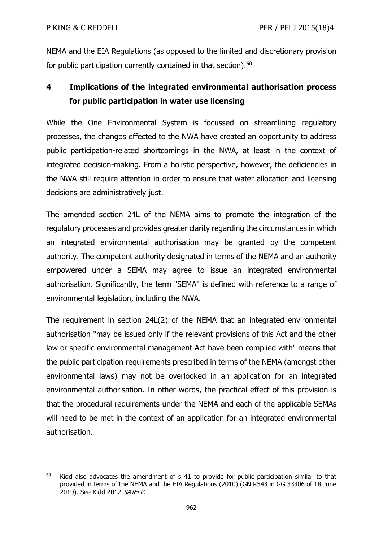-

NEMA and the EIA Regulations (as opposed to the limited and discretionary provision for public participation currently contained in that section).<sup>60</sup>

# **4 Implications of the integrated environmental authorisation process for public participation in water use licensing**

While the One Environmental System is focussed on streamlining regulatory processes, the changes effected to the NWA have created an opportunity to address public participation-related shortcomings in the NWA, at least in the context of integrated decision-making. From a holistic perspective, however, the deficiencies in the NWA still require attention in order to ensure that water allocation and licensing decisions are administratively just.

The amended section 24L of the NEMA aims to promote the integration of the regulatory processes and provides greater clarity regarding the circumstances in which an integrated environmental authorisation may be granted by the competent authority. The competent authority designated in terms of the NEMA and an authority empowered under a SEMA may agree to issue an integrated environmental authorisation. Significantly, the term "SEMA" is defined with reference to a range of environmental legislation, including the NWA.

The requirement in section 24L(2) of the NEMA that an integrated environmental authorisation "may be issued only if the relevant provisions of this Act and the other law or specific environmental management Act have been complied with" means that the public participation requirements prescribed in terms of the NEMA (amongst other environmental laws) may not be overlooked in an application for an integrated environmental authorisation. In other words, the practical effect of this provision is that the procedural requirements under the NEMA and each of the applicable SEMAs will need to be met in the context of an application for an integrated environmental authorisation.

 $60$  Kidd also advocates the amendment of s 41 to provide for public participation similar to that provided in terms of the NEMA and the EIA Regulations (2010) (GN R543 in GG 33306 of 18 June 2010). See Kidd 2012 SAJELP.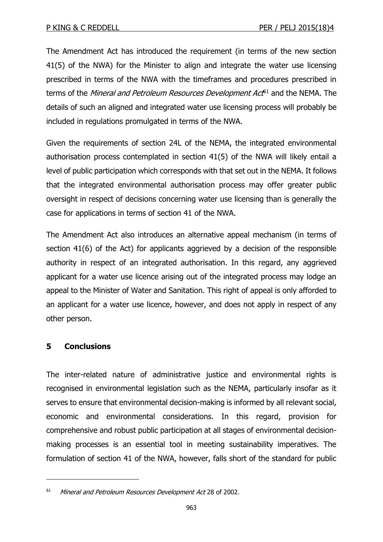The Amendment Act has introduced the requirement (in terms of the new section 41(5) of the NWA) for the Minister to align and integrate the water use licensing prescribed in terms of the NWA with the timeframes and procedures prescribed in terms of the *Mineral and Petroleum Resources Development Act*<sup>61</sup> and the NEMA. The details of such an aligned and integrated water use licensing process will probably be included in regulations promulgated in terms of the NWA.

Given the requirements of section 24L of the NEMA, the integrated environmental authorisation process contemplated in section 41(5) of the NWA will likely entail a level of public participation which corresponds with that set out in the NEMA. It follows that the integrated environmental authorisation process may offer greater public oversight in respect of decisions concerning water use licensing than is generally the case for applications in terms of section 41 of the NWA.

The Amendment Act also introduces an alternative appeal mechanism (in terms of section 41(6) of the Act) for applicants aggrieved by a decision of the responsible authority in respect of an integrated authorisation. In this regard, any aggrieved applicant for a water use licence arising out of the integrated process may lodge an appeal to the Minister of Water and Sanitation. This right of appeal is only afforded to an applicant for a water use licence, however, and does not apply in respect of any other person.

## **5 Conclusions**

-

The inter-related nature of administrative justice and environmental rights is recognised in environmental legislation such as the NEMA, particularly insofar as it serves to ensure that environmental decision-making is informed by all relevant social, economic and environmental considerations. In this regard, provision for comprehensive and robust public participation at all stages of environmental decisionmaking processes is an essential tool in meeting sustainability imperatives. The formulation of section 41 of the NWA, however, falls short of the standard for public

<sup>&</sup>lt;sup>61</sup> Mineral and Petroleum Resources Development Act 28 of 2002.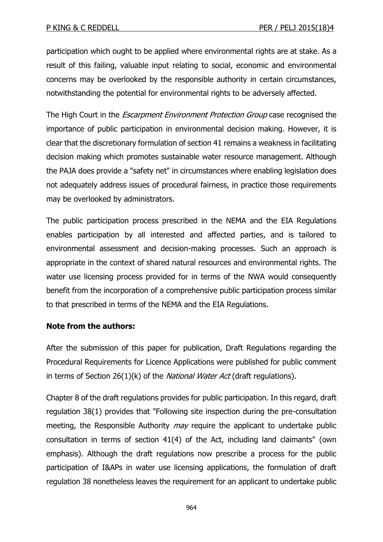participation which ought to be applied where environmental rights are at stake. As a result of this failing, valuable input relating to social, economic and environmental concerns may be overlooked by the responsible authority in certain circumstances, notwithstanding the potential for environmental rights to be adversely affected.

The High Court in the *Escarpment Environment Protection Group* case recognised the importance of public participation in environmental decision making. However, it is clear that the discretionary formulation of section 41 remains a weakness in facilitating decision making which promotes sustainable water resource management. Although the PAJA does provide a "safety net" in circumstances where enabling legislation does not adequately address issues of procedural fairness, in practice those requirements may be overlooked by administrators.

The public participation process prescribed in the NEMA and the EIA Regulations enables participation by all interested and affected parties, and is tailored to environmental assessment and decision-making processes. Such an approach is appropriate in the context of shared natural resources and environmental rights. The water use licensing process provided for in terms of the NWA would consequently benefit from the incorporation of a comprehensive public participation process similar to that prescribed in terms of the NEMA and the EIA Regulations.

## **Note from the authors:**

After the submission of this paper for publication, Draft Regulations regarding the Procedural Requirements for Licence Applications were published for public comment in terms of Section 26(1)(k) of the *National Water Act* (draft regulations).

Chapter 8 of the draft regulations provides for public participation. In this regard, draft regulation 38(1) provides that "Following site inspection during the pre-consultation meeting, the Responsible Authority *may* require the applicant to undertake public consultation in terms of section 41(4) of the Act, including land claimants" (own emphasis). Although the draft regulations now prescribe a process for the public participation of I&APs in water use licensing applications, the formulation of draft regulation 38 nonetheless leaves the requirement for an applicant to undertake public

964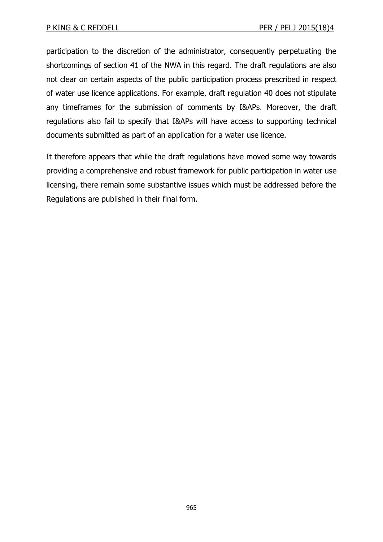participation to the discretion of the administrator, consequently perpetuating the shortcomings of section 41 of the NWA in this regard. The draft regulations are also not clear on certain aspects of the public participation process prescribed in respect of water use licence applications. For example, draft regulation 40 does not stipulate any timeframes for the submission of comments by I&APs. Moreover, the draft regulations also fail to specify that I&APs will have access to supporting technical documents submitted as part of an application for a water use licence.

It therefore appears that while the draft regulations have moved some way towards providing a comprehensive and robust framework for public participation in water use licensing, there remain some substantive issues which must be addressed before the Regulations are published in their final form.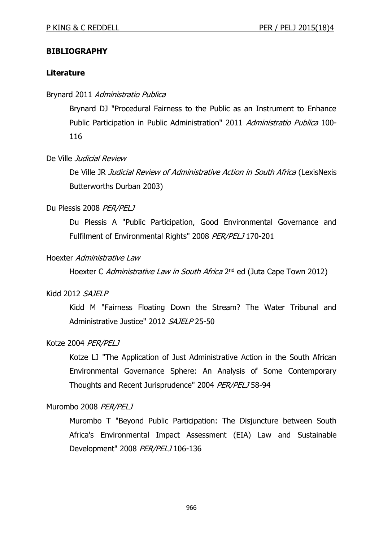### **BIBLIOGRAPHY**

#### **Literature**

#### Brynard 2011 Administratio Publica

Brynard DJ "Procedural Fairness to the Public as an Instrument to Enhance Public Participation in Public Administration" 2011 Administratio Publica 100-116

#### De Ville Judicial Review

De Ville JR Judicial Review of Administrative Action in South Africa (LexisNexis Butterworths Durban 2003)

#### Du Plessis 2008 PER/PELJ

Du Plessis A "Public Participation, Good Environmental Governance and Fulfilment of Environmental Rights" 2008 PER/PELJ 170-201

#### Hoexter Administrative Law

Hoexter C Administrative Law in South Africa 2<sup>nd</sup> ed (Juta Cape Town 2012)

#### Kidd 2012 SAJELP

Kidd M "Fairness Floating Down the Stream? The Water Tribunal and Administrative Justice" 2012 SAJELP 25-50

#### Kotze 2004 PER/PELJ

Kotze LJ "The Application of Just Administrative Action in the South African Environmental Governance Sphere: An Analysis of Some Contemporary Thoughts and Recent Jurisprudence" 2004 PER/PELJ 58-94

#### Murombo 2008 PER/PELJ

Murombo T "Beyond Public Participation: The Disjuncture between South Africa's Environmental Impact Assessment (EIA) Law and Sustainable Development" 2008 PER/PELJ 106-136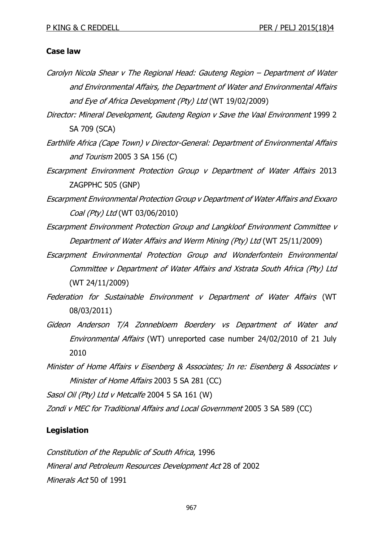#### **Case law**

- Carolyn Nicola Shear v The Regional Head: Gauteng Region Department of Water and Environmental Affairs, the Department of Water and Environmental Affairs and Eye of Africa Development (Pty) Ltd (WT 19/02/2009)
- Director: Mineral Development, Gauteng Region v Save the Vaal Environment 1999 2 SA 709 (SCA)
- Earthlife Africa (Cape Town) v Director-General: Department of Environmental Affairs and Tourism 2005 3 SA 156 (C)
- Escarpment Environment Protection Group v Department of Water Affairs 2013 ZAGPPHC 505 (GNP)
- Escarpment Environmental Protection Group v Department of Water Affairs and Exxaro Coal (Pty) Ltd (WT 03/06/2010)
- Escarpment Environment Protection Group and Langkloof Environment Committee v Department of Water Affairs and Werm Mining (Pty) Ltd (WT 25/11/2009)
- Escarpment Environmental Protection Group and Wonderfontein Environmental Committee v Department of Water Affairs and Xstrata South Africa (Pty) Ltd (WT 24/11/2009)
- Federation for Sustainable Environment v Department of Water Affairs (WT 08/03/2011)
- Gideon Anderson T/A Zonnebloem Boerdery vs Department of Water and Environmental Affairs (WT) unreported case number 24/02/2010 of 21 July 2010
- Minister of Home Affairs v Eisenberg & Associates; In re: Eisenberg & Associates v Minister of Home Affairs 2003 5 SA 281 (CC)

Sasol Oil (Pty) Ltd v Metcalfe 2004 5 SA 161 (W)

Zondi v MEC for Traditional Affairs and Local Government 2005 3 SA 589 (CC)

## **Legislation**

Constitution of the Republic of South Africa, 1996 Mineral and Petroleum Resources Development Act 28 of 2002 Minerals Act 50 of 1991